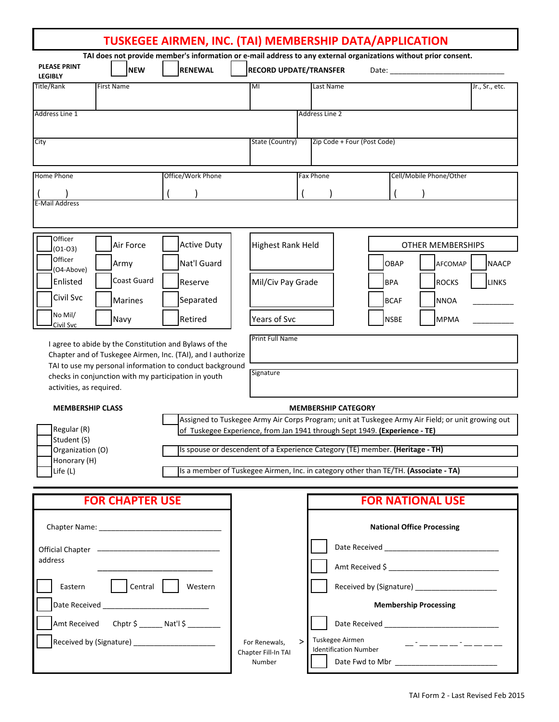| TUSKEGEE AIRMEN, INC. (TAI) MEMBERSHIP DATA/APPLICATION                                                                                                                                                                                                               |                        |                                                                                                                                                                                 |                                                                                                                                                                                               |                                     |                              |                                   |  |             |  |                          |                |
|-----------------------------------------------------------------------------------------------------------------------------------------------------------------------------------------------------------------------------------------------------------------------|------------------------|---------------------------------------------------------------------------------------------------------------------------------------------------------------------------------|-----------------------------------------------------------------------------------------------------------------------------------------------------------------------------------------------|-------------------------------------|------------------------------|-----------------------------------|--|-------------|--|--------------------------|----------------|
| <b>PLEASE PRINT</b>                                                                                                                                                                                                                                                   | <b>NEW</b>             | TAI does not provide member's information or e-mail address to any external organizations without prior consent.<br><b>RENEWAL</b>                                              |                                                                                                                                                                                               | <b>RECORD UPDATE/TRANSFER</b>       |                              |                                   |  |             |  |                          |                |
| <b>LEGIBLY</b><br>Title/Rank<br><b>First Name</b>                                                                                                                                                                                                                     |                        |                                                                                                                                                                                 |                                                                                                                                                                                               | $\overline{\mathsf{M}}$             |                              | Last Name                         |  |             |  |                          | Jr., Sr., etc. |
| Address Line 1                                                                                                                                                                                                                                                        |                        |                                                                                                                                                                                 |                                                                                                                                                                                               |                                     |                              | <b>Address Line 2</b>             |  |             |  |                          |                |
| City                                                                                                                                                                                                                                                                  |                        |                                                                                                                                                                                 |                                                                                                                                                                                               | State (Country)                     |                              | Zip Code + Four (Post Code)       |  |             |  |                          |                |
| Home Phone                                                                                                                                                                                                                                                            |                        | Office/Work Phone                                                                                                                                                               |                                                                                                                                                                                               |                                     |                              | <b>Fax Phone</b>                  |  |             |  | Cell/Mobile Phone/Other  |                |
| E-Mail Address                                                                                                                                                                                                                                                        |                        |                                                                                                                                                                                 |                                                                                                                                                                                               |                                     |                              |                                   |  |             |  |                          |                |
| Officer                                                                                                                                                                                                                                                               | Air Force              | <b>Active Duty</b>                                                                                                                                                              |                                                                                                                                                                                               | <b>Highest Rank Held</b>            |                              |                                   |  |             |  | <b>OTHER MEMBERSHIPS</b> |                |
| $(01-03)$<br>Officer<br>Army<br>(O4-Above)                                                                                                                                                                                                                            |                        | Nat'l Guard                                                                                                                                                                     |                                                                                                                                                                                               |                                     |                              |                                   |  | <b>OBAP</b> |  | AFCOMAP                  | <b>NAACP</b>   |
| Enlisted                                                                                                                                                                                                                                                              | Coast Guard            | Reserve                                                                                                                                                                         |                                                                                                                                                                                               | Mil/Civ Pay Grade                   |                              |                                   |  | <b>BPA</b>  |  | <b>ROCKS</b>             | <b>LINKS</b>   |
| Civil Svc                                                                                                                                                                                                                                                             | Marines                | Separated                                                                                                                                                                       |                                                                                                                                                                                               |                                     |                              |                                   |  | <b>BCAF</b> |  | <b>NNOA</b>              |                |
| No Mil/<br>Navy<br>Civil Svc                                                                                                                                                                                                                                          |                        | Retired                                                                                                                                                                         |                                                                                                                                                                                               | Years of Svc                        |                              |                                   |  | <b>NSBE</b> |  | <b>MPMA</b>              |                |
| I agree to abide by the Constitution and Bylaws of the<br>Chapter and of Tuskegee Airmen, Inc. (TAI), and I authorize<br>TAI to use my personal information to conduct background<br>checks in conjunction with my participation in youth<br>activities, as required. |                        |                                                                                                                                                                                 |                                                                                                                                                                                               | <b>Print Full Name</b><br>Signature |                              |                                   |  |             |  |                          |                |
| <b>MEMBERSHIP CLASS</b>                                                                                                                                                                                                                                               |                        |                                                                                                                                                                                 | <b>MEMBERSHIP CATEGORY</b>                                                                                                                                                                    |                                     |                              |                                   |  |             |  |                          |                |
| Regular (R)                                                                                                                                                                                                                                                           |                        | Assigned to Tuskegee Army Air Corps Program; unit at Tuskegee Army Air Field; or unit growing out<br>of Tuskegee Experience, from Jan 1941 through Sept 1949. (Experience - TE) |                                                                                                                                                                                               |                                     |                              |                                   |  |             |  |                          |                |
| Student (S)<br>Organization (O)                                                                                                                                                                                                                                       |                        | Is spouse or descendent of a Experience Category (TE) member. (Heritage - TH)                                                                                                   |                                                                                                                                                                                               |                                     |                              |                                   |  |             |  |                          |                |
| Honorary (H)<br>Life $(L)$                                                                                                                                                                                                                                            |                        | Is a member of Tuskegee Airmen, Inc. in category other than TE/TH. (Associate - TA)                                                                                             |                                                                                                                                                                                               |                                     |                              |                                   |  |             |  |                          |                |
|                                                                                                                                                                                                                                                                       | <b>FOR CHAPTER USE</b> |                                                                                                                                                                                 |                                                                                                                                                                                               |                                     |                              |                                   |  |             |  | <b>FOR NATIONAL USE</b>  |                |
|                                                                                                                                                                                                                                                                       |                        |                                                                                                                                                                                 |                                                                                                                                                                                               |                                     |                              | <b>National Office Processing</b> |  |             |  |                          |                |
| address                                                                                                                                                                                                                                                               |                        |                                                                                                                                                                                 |                                                                                                                                                                                               |                                     |                              |                                   |  |             |  |                          |                |
| Central                                                                                                                                                                                                                                                               |                        |                                                                                                                                                                                 |                                                                                                                                                                                               |                                     |                              |                                   |  |             |  |                          |                |
| Eastern                                                                                                                                                                                                                                                               | Western                |                                                                                                                                                                                 |                                                                                                                                                                                               |                                     | <b>Membership Processing</b> |                                   |  |             |  |                          |                |
| Amt Received Chptr \$ _______ Nat'l \$ ________                                                                                                                                                                                                                       |                        |                                                                                                                                                                                 |                                                                                                                                                                                               |                                     |                              |                                   |  |             |  |                          |                |
|                                                                                                                                                                                                                                                                       |                        |                                                                                                                                                                                 | Tuskegee Airmen<br>><br>For Renewals,<br><u> 2007 - 2008 - 2008 - 2009 - 2009 - 2009 - 2009 - 2009 - 2009 - 2009 - 2009 - 2009 - 2009 - 2009 - 2009 - 200</u><br><b>Identification Number</b> |                                     |                              |                                   |  |             |  |                          |                |
|                                                                                                                                                                                                                                                                       |                        |                                                                                                                                                                                 | Chapter Fill-In TAI<br>Number                                                                                                                                                                 |                                     |                              |                                   |  |             |  |                          |                |